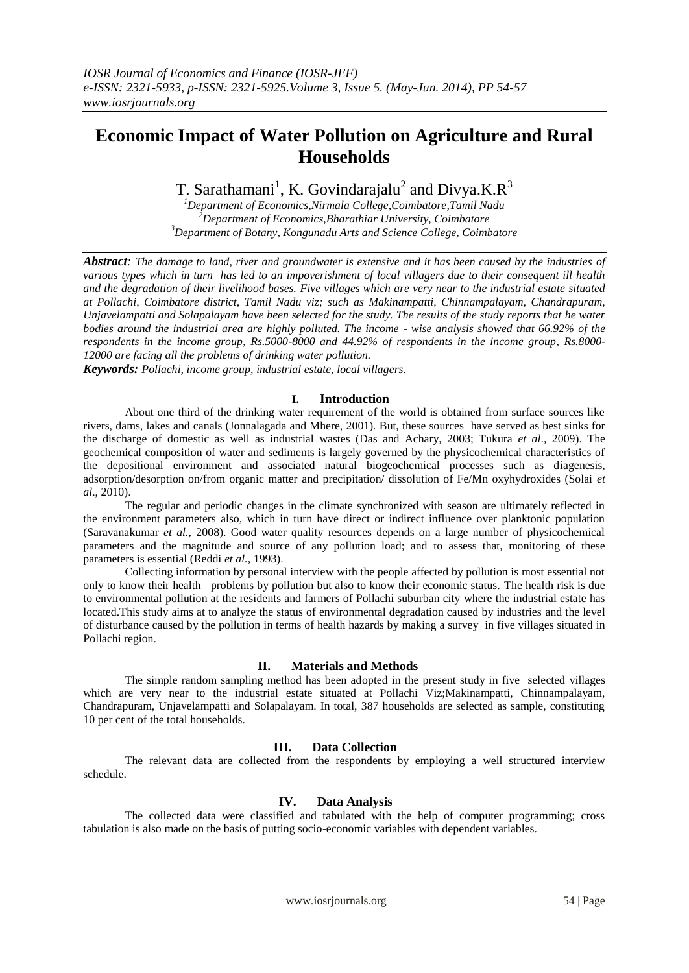# **Economic Impact of Water Pollution on Agriculture and Rural Households**

T. Sarathamani<sup>1</sup>, K. Govindarajalu<sup>2</sup> and Divya.K.R<sup>3</sup>

*<sup>1</sup>Department of Economics,Nirmala College,Coimbatore,Tamil Nadu <sup>2</sup>Department of Economics,Bharathiar University, Coimbatore <sup>3</sup>Department of Botany, Kongunadu Arts and Science College, Coimbatore*

*Abstract: The damage to land, river and groundwater is extensive and it has been caused by the industries of various types which in turn has led to an impoverishment of local villagers due to their consequent ill health and the degradation of their livelihood bases. Five villages which are very near to the industrial estate situated at Pollachi, Coimbatore district, Tamil Nadu viz; such as Makinampatti, Chinnampalayam, Chandrapuram, Unjavelampatti and Solapalayam have been selected for the study. The results of the study reports that he water bodies around the industrial area are highly polluted. The income - wise analysis showed that 66.92% of the respondents in the income group, Rs.5000-8000 and 44.92% of respondents in the income group, Rs.8000- 12000 are facing all the problems of drinking water pollution.*

*Keywords: Pollachi, income group, industrial estate, local villagers.*

## **I. Introduction**

About one third of the drinking water requirement of the world is obtained from surface sources like rivers, dams, lakes and canals (Jonnalagada and Mhere, 2001). But, these sources have served as best sinks for the discharge of domestic as well as industrial wastes (Das and Achary, 2003; Tukura *et al*., 2009). The geochemical composition of water and sediments is largely governed by the physicochemical characteristics of the depositional environment and associated natural biogeochemical processes such as diagenesis, adsorption/desorption on/from organic matter and precipitation/ dissolution of Fe/Mn oxyhydroxides (Solai *et al*., 2010).

The regular and periodic changes in the climate synchronized with season are ultimately reflected in the environment parameters also, which in turn have direct or indirect influence over planktonic population (Saravanakumar *et al.,* 2008). Good water quality resources depends on a large number of physicochemical parameters and the magnitude and source of any pollution load; and to assess that, monitoring of these parameters is essential (Reddi *et al.,* 1993).

Collecting information by personal interview with the people affected by pollution is most essential not only to know their health problems by pollution but also to know their economic status. The health risk is due to environmental pollution at the residents and farmers of Pollachi suburban city where the industrial estate has located.This study aims at to analyze the status of environmental degradation caused by industries and the level of disturbance caused by the pollution in terms of health hazards by making a survey in five villages situated in Pollachi region.

# **II. Materials and Methods**

The simple random sampling method has been adopted in the present study in five selected villages which are very near to the industrial estate situated at Pollachi Viz; Makinampatti, Chinnampalayam, Chandrapuram, Unjavelampatti and Solapalayam. In total, 387 households are selected as sample, constituting 10 per cent of the total households.

# **III. Data Collection**

The relevant data are collected from the respondents by employing a well structured interview schedule.

# **IV. Data Analysis**

The collected data were classified and tabulated with the help of computer programming; cross tabulation is also made on the basis of putting socio-economic variables with dependent variables.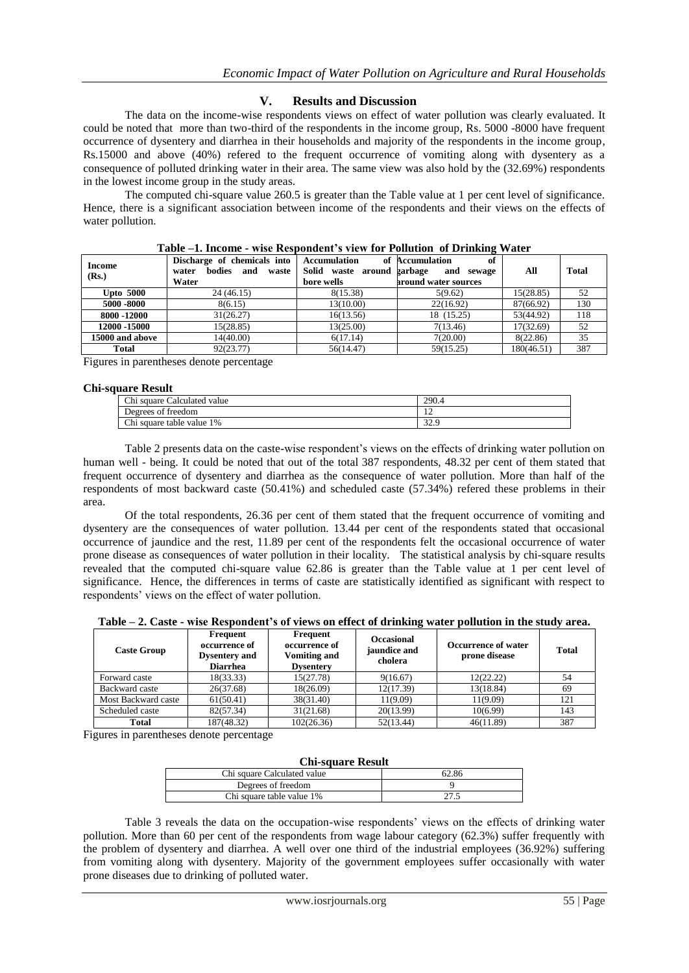## **V. Results and Discussion**

The data on the income-wise respondents views on effect of water pollution was clearly evaluated. It could be noted that more than two-third of the respondents in the income group, Rs. 5000 -8000 have frequent occurrence of dysentery and diarrhea in their households and majority of the respondents in the income group, Rs.15000 and above (40%) refered to the frequent occurrence of vomiting along with dysentery as a consequence of polluted drinking water in their area. The same view was also hold by the (32.69%) respondents in the lowest income group in the study areas.

The computed chi-square value 260.5 is greater than the Table value at 1 per cent level of significance. Hence, there is a significant association between income of the respondents and their views on the effects of water pollution.

| <b>Income</b><br>(Rs.) | Discharge of chemicals into<br>bodies<br>and<br>waste<br>water<br>Water | <b>Accumulation</b><br>Solid<br>waste around<br>bore wells | -<br>of Accumulation<br>of<br>garbage<br>and<br>sewage<br>around water sources | All        | Total |
|------------------------|-------------------------------------------------------------------------|------------------------------------------------------------|--------------------------------------------------------------------------------|------------|-------|
| <b>Upto 5000</b>       | 24 (46.15)                                                              | 8(15.38)                                                   | 5(9.62)                                                                        | 15(28.85)  | 52    |
| 5000 -8000             | 8(6.15)                                                                 | 13(10.00)                                                  | 22(16.92)                                                                      | 87(66.92)  | 130   |
| 8000 -12000            | 31(26.27)                                                               | 16(13.56)                                                  | 18 (15.25)                                                                     | 53(44.92)  | 118   |
| 12000 -15000           | 15(28.85)                                                               | 13(25.00)                                                  | 7(13.46)                                                                       | 17(32.69)  | 52    |
| 15000 and above        | 14(40.00)                                                               | 6(17.14)                                                   | 7(20.00)                                                                       | 8(22.86)   | 35    |
| Total                  | 92(23.77)                                                               | 56(14.47)                                                  | 59(15.25)                                                                      | 180(46.51) | 387   |

|  |  |  | Table -1. Income - wise Respondent's view for Pollution of Drinking Water |
|--|--|--|---------------------------------------------------------------------------|
|  |  |  |                                                                           |

Figures in parentheses denote percentage

#### **Chi-square Result**

| Chi square Calculated value | 290.4       |  |  |  |
|-----------------------------|-------------|--|--|--|
| Degrees of freedom          | . .         |  |  |  |
| Chi square table value 1%   | 220<br>: 22 |  |  |  |
|                             |             |  |  |  |

Table 2 presents data on the caste-wise respondent's views on the effects of drinking water pollution on human well - being. It could be noted that out of the total 387 respondents, 48.32 per cent of them stated that frequent occurrence of dysentery and diarrhea as the consequence of water pollution. More than half of the respondents of most backward caste (50.41%) and scheduled caste (57.34%) refered these problems in their area.

Of the total respondents, 26.36 per cent of them stated that the frequent occurrence of vomiting and dysentery are the consequences of water pollution. 13.44 per cent of the respondents stated that occasional occurrence of jaundice and the rest, 11.89 per cent of the respondents felt the occasional occurrence of water prone disease as consequences of water pollution in their locality. The statistical analysis by chi-square results revealed that the computed chi-square value 62.86 is greater than the Table value at 1 per cent level of significance. Hence, the differences in terms of caste are statistically identified as significant with respect to respondents' views on the effect of water pollution.

**Table – 2. Caste - wise Respondent's of views on effect of drinking water pollution in the study area.**

| <b>Caste Group</b>  | Frequent<br>occurrence of<br><b>Dysentery</b> and<br><b>Diarrhea</b> | Frequent<br>occurrence of<br><b>Vomiting and</b><br><b>Dysentery</b> | <b>Occasional</b><br>jaundice and<br>cholera | <b>Occurrence of water</b><br>prone disease | <b>Total</b> |
|---------------------|----------------------------------------------------------------------|----------------------------------------------------------------------|----------------------------------------------|---------------------------------------------|--------------|
| Forward caste       | 18(33.33)                                                            | 15(27.78)                                                            | 9(16.67)                                     | 12(22.22)                                   | 54           |
| Backward caste      | 26(37.68)                                                            | 18(26.09)                                                            | 12(17.39)                                    | 13(18.84)                                   | 69           |
| Most Backward caste | 61(50.41)                                                            | 38(31.40)                                                            | 11(9.09)                                     | 11(9.09)                                    | 121          |
| Scheduled caste     | 82(57.34)                                                            | 31(21.68)                                                            | 20(13.99)                                    | 10(6.99)                                    | 143          |
| Total               | 187(48.32)                                                           | 102(26.36)                                                           | 52(13.44)                                    | 46(11.89)                                   | 387          |

Figures in parentheses denote percentage

| <b>Chi-square Result</b>    |       |  |  |  |
|-----------------------------|-------|--|--|--|
| Chi square Calculated value | 62.86 |  |  |  |
| Degrees of freedom          |       |  |  |  |
| Chi square table value 1%   |       |  |  |  |

Table 3 reveals the data on the occupation-wise respondents' views on the effects of drinking water pollution. More than 60 per cent of the respondents from wage labour category (62.3%) suffer frequently with the problem of dysentery and diarrhea. A well over one third of the industrial employees (36.92%) suffering from vomiting along with dysentery. Majority of the government employees suffer occasionally with water prone diseases due to drinking of polluted water.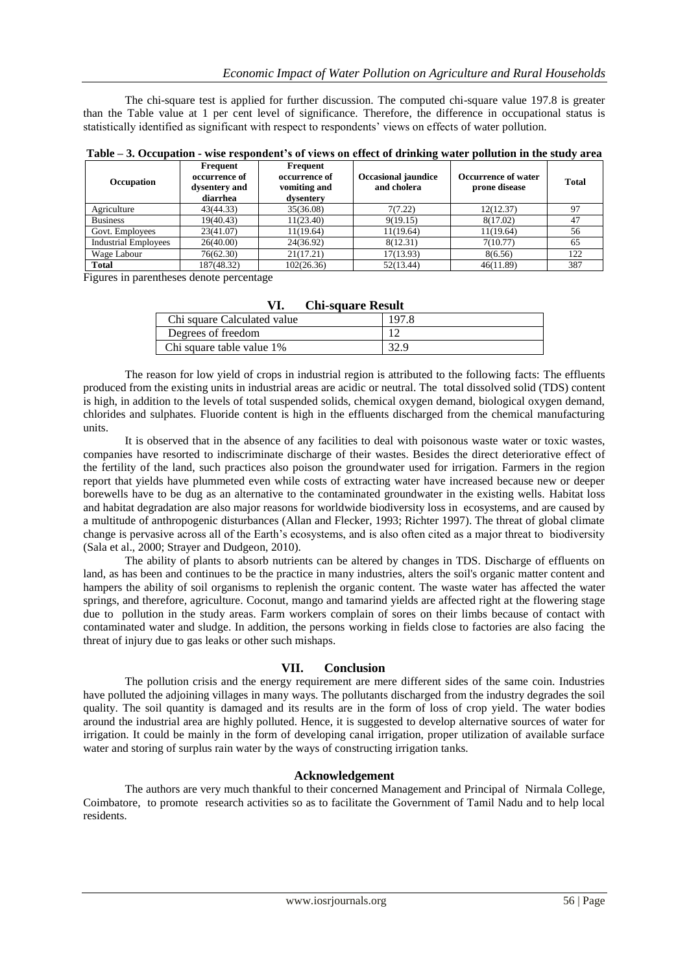The chi-square test is applied for further discussion. The computed chi-square value 197.8 is greater than the Table value at 1 per cent level of significance. Therefore, the difference in occupational status is statistically identified as significant with respect to respondents' views on effects of water pollution.

| <b>Occupation</b>           | Frequent<br>occurrence of<br>dysentery and<br>diarrhea | Frequent<br>occurrence of<br>vomiting and<br>dysentery | <b>Occasional jaundice</b><br>and cholera | Occurrence of water<br>prone disease | <b>Total</b> |
|-----------------------------|--------------------------------------------------------|--------------------------------------------------------|-------------------------------------------|--------------------------------------|--------------|
| Agriculture                 | 43(44.33)                                              | 35(36.08)                                              | 7(7.22)                                   | 12(12.37)                            | 97           |
| <b>Business</b>             | 19(40.43)                                              | 11(23.40)                                              | 9(19.15)                                  | 8(17.02)                             | 47           |
| Govt. Employees             | 23(41.07)                                              | 11(19.64)                                              | 11(19.64)                                 | 11(19.64)                            | 56           |
| <b>Industrial Employees</b> | 26(40.00)                                              | 24(36.92)                                              | 8(12.31)                                  | 7(10.77)                             | 65           |
| Wage Labour                 | 76(62.30)                                              | 21(17.21)                                              | 17(13.93)                                 | 8(6.56)                              | 122          |
| <b>Total</b>                | 187(48.32)                                             | 102(26.36)                                             | 52(13.44)                                 | 46(11.89)                            | 387          |

**Table – 3. Occupation - wise respondent's of views on effect of drinking water pollution in the study area**

Figures in parentheses denote percentage

| <b>Chi-square Result</b>    |       |  |  |  |
|-----------------------------|-------|--|--|--|
| Chi square Calculated value | 197.8 |  |  |  |
| Degrees of freedom          |       |  |  |  |
| Chi square table value 1%   | 39 Q  |  |  |  |

# **VI. Chi-square Result**

The reason for low yield of crops in industrial region is attributed to the following facts: The effluents produced from the existing units in industrial areas are acidic or neutral. The total dissolved solid (TDS) content is high, in addition to the levels of total suspended solids, chemical oxygen demand, biological oxygen demand, chlorides and sulphates. Fluoride content is high in the effluents discharged from the chemical manufacturing units.

It is observed that in the absence of any facilities to deal with poisonous waste water or toxic wastes, companies have resorted to indiscriminate discharge of their wastes. Besides the direct deteriorative effect of the fertility of the land, such practices also poison the groundwater used for irrigation. Farmers in the region report that yields have plummeted even while costs of extracting water have increased because new or deeper borewells have to be dug as an alternative to the contaminated groundwater in the existing wells. Habitat loss and habitat degradation are also major reasons for worldwide biodiversity loss in ecosystems, and are caused by a multitude of anthropogenic disturbances (Allan and Flecker, 1993; Richter 1997). The threat of global climate change is pervasive across all of the Earth's ecosystems, and is also often cited as a major threat to biodiversity (Sala et al., 2000; Strayer and Dudgeon, 2010).

The ability of plants to absorb nutrients can be altered by changes in TDS. Discharge of effluents on land, as has been and continues to be the practice in many industries, alters the soil's organic matter content and hampers the ability of soil organisms to replenish the organic content. The waste water has affected the water springs, and therefore, agriculture. Coconut, mango and tamarind yields are affected right at the flowering stage due to pollution in the study areas. Farm workers complain of sores on their limbs because of contact with contaminated water and sludge. In addition, the persons working in fields close to factories are also facing the threat of injury due to gas leaks or other such mishaps.

# **VII. Conclusion**

The pollution crisis and the energy requirement are mere different sides of the same coin. Industries have polluted the adjoining villages in many ways. The pollutants discharged from the industry degrades the soil quality. The soil quantity is damaged and its results are in the form of loss of crop yield. The water bodies around the industrial area are highly polluted. Hence, it is suggested to develop alternative sources of water for irrigation. It could be mainly in the form of developing canal irrigation, proper utilization of available surface water and storing of surplus rain water by the ways of constructing irrigation tanks.

### **Acknowledgement**

The authors are very much thankful to their concerned Management and Principal of Nirmala College, Coimbatore, to promote research activities so as to facilitate the Government of Tamil Nadu and to help local residents.